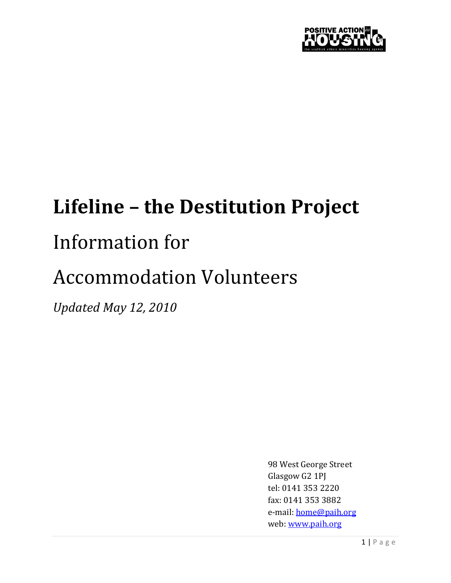

# Lifeline – the Destitution Project

## Information for

# Accommodation Volunteers

Updated May 12, 2010

98 West George Street Glasgow G2 1PJ tel: 0141 353 2220 fax: 0141 353 3882 e-mail: home@paih.org web: www.paih.org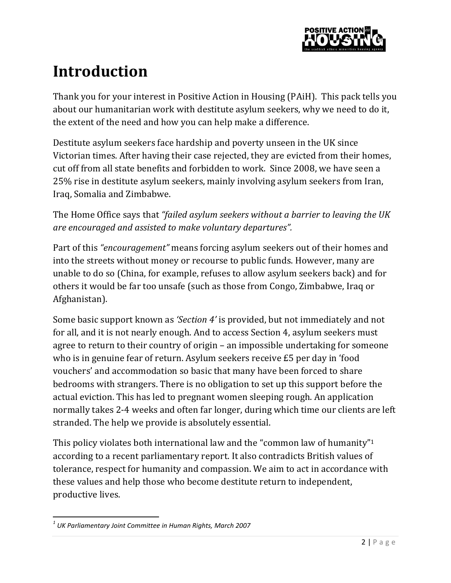

## Introduction

Thank you for your interest in Positive Action in Housing (PAiH). This pack tells you about our humanitarian work with destitute asylum seekers, why we need to do it, the extent of the need and how you can help make a difference.

Destitute asylum seekers face hardship and poverty unseen in the UK since Victorian times. After having their case rejected, they are evicted from their homes, cut off from all state benefits and forbidden to work. Since 2008, we have seen a 25% rise in destitute asylum seekers, mainly involving asylum seekers from Iran, Iraq, Somalia and Zimbabwe.

The Home Office says that "failed asylum seekers without a barrier to leaving the UK are encouraged and assisted to make voluntary departures".

Part of this "encouragement" means forcing asylum seekers out of their homes and into the streets without money or recourse to public funds. However, many are unable to do so (China, for example, refuses to allow asylum seekers back) and for others it would be far too unsafe (such as those from Congo, Zimbabwe, Iraq or Afghanistan).

Some basic support known as 'Section 4' is provided, but not immediately and not for all, and it is not nearly enough. And to access Section 4, asylum seekers must agree to return to their country of origin – an impossible undertaking for someone who is in genuine fear of return. Asylum seekers receive £5 per day in 'food vouchers' and accommodation so basic that many have been forced to share bedrooms with strangers. There is no obligation to set up this support before the actual eviction. This has led to pregnant women sleeping rough. An application normally takes 2-4 weeks and often far longer, during which time our clients are left stranded. The help we provide is absolutely essential.

This policy violates both international law and the "common law of humanity"<sup>1</sup> according to a recent parliamentary report. It also contradicts British values of tolerance, respect for humanity and compassion. We aim to act in accordance with these values and help those who become destitute return to independent, productive lives.

 $^{\rm 1}$  UK Parliamentary Joint Committee in Human Rights, March 2007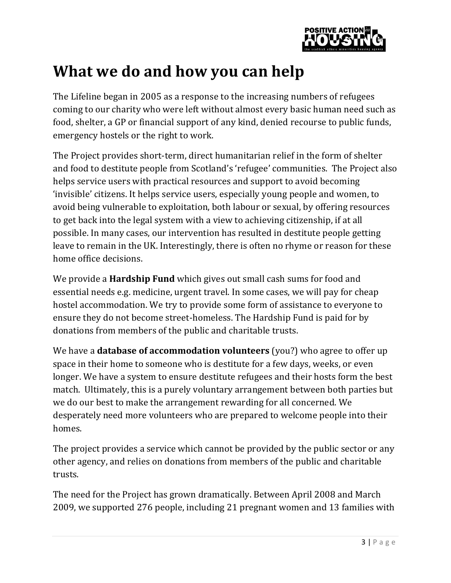

### What we do and how you can help

The Lifeline began in 2005 as a response to the increasing numbers of refugees coming to our charity who were left without almost every basic human need such as food, shelter, a GP or financial support of any kind, denied recourse to public funds, emergency hostels or the right to work.

The Project provides short-term, direct humanitarian relief in the form of shelter and food to destitute people from Scotland's 'refugee' communities. The Project also helps service users with practical resources and support to avoid becoming 'invisible' citizens. It helps service users, especially young people and women, to avoid being vulnerable to exploitation, both labour or sexual, by offering resources to get back into the legal system with a view to achieving citizenship, if at all possible. In many cases, our intervention has resulted in destitute people getting leave to remain in the UK. Interestingly, there is often no rhyme or reason for these home office decisions.

We provide a **Hardship Fund** which gives out small cash sums for food and essential needs e.g. medicine, urgent travel. In some cases, we will pay for cheap hostel accommodation. We try to provide some form of assistance to everyone to ensure they do not become street-homeless. The Hardship Fund is paid for by donations from members of the public and charitable trusts.

We have a **database of accommodation volunteers** (you?) who agree to offer up space in their home to someone who is destitute for a few days, weeks, or even longer. We have a system to ensure destitute refugees and their hosts form the best match. Ultimately, this is a purely voluntary arrangement between both parties but we do our best to make the arrangement rewarding for all concerned. We desperately need more volunteers who are prepared to welcome people into their homes.

The project provides a service which cannot be provided by the public sector or any other agency, and relies on donations from members of the public and charitable trusts.

The need for the Project has grown dramatically. Between April 2008 and March 2009, we supported 276 people, including 21 pregnant women and 13 families with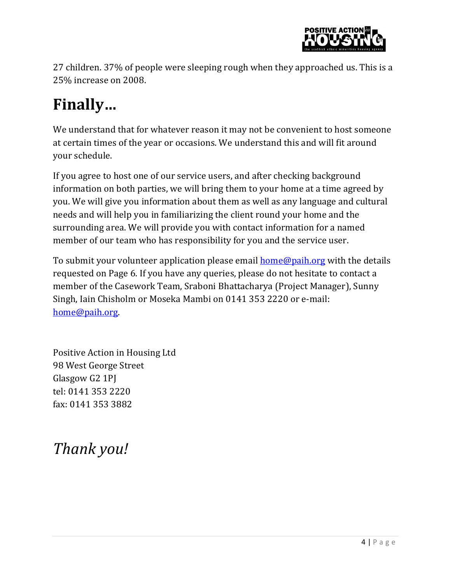

27 children. 37% of people were sleeping rough when they approached us. This is a 25% increase on 2008.

## Finally…

We understand that for whatever reason it may not be convenient to host someone at certain times of the year or occasions. We understand this and will fit around your schedule.

If you agree to host one of our service users, and after checking background information on both parties, we will bring them to your home at a time agreed by you. We will give you information about them as well as any language and cultural needs and will help you in familiarizing the client round your home and the surrounding area. We will provide you with contact information for a named member of our team who has responsibility for you and the service user.

To submit your volunteer application please email **home@paih.org** with the details requested on Page 6. If you have any queries, please do not hesitate to contact a member of the Casework Team, Sraboni Bhattacharya (Project Manager), Sunny Singh, Iain Chisholm or Moseka Mambi on 0141 353 2220 or e-mail: home@paih.org.

Positive Action in Housing Ltd 98 West George Street Glasgow G2 1PJ tel: 0141 353 2220 fax: 0141 353 3882

Thank you!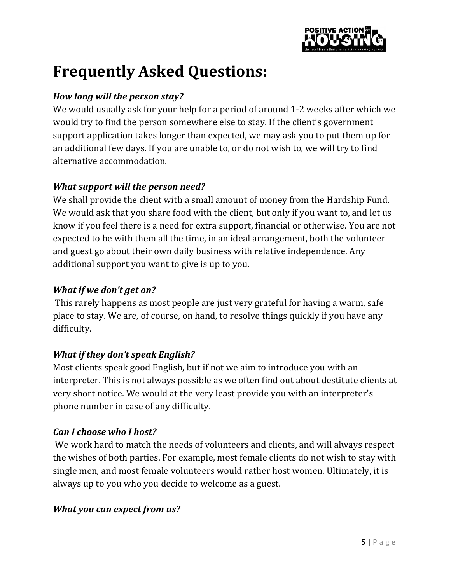

## Frequently Asked Questions:

#### How long will the person stay?

We would usually ask for your help for a period of around 1-2 weeks after which we would try to find the person somewhere else to stay. If the client's government support application takes longer than expected, we may ask you to put them up for an additional few days. If you are unable to, or do not wish to, we will try to find alternative accommodation.

#### What support will the person need?

We shall provide the client with a small amount of money from the Hardship Fund. We would ask that you share food with the client, but only if you want to, and let us know if you feel there is a need for extra support, financial or otherwise. You are not expected to be with them all the time, in an ideal arrangement, both the volunteer and guest go about their own daily business with relative independence. Any additional support you want to give is up to you.

#### What if we don't get on?

This rarely happens as most people are just very grateful for having a warm, safe place to stay. We are, of course, on hand, to resolve things quickly if you have any difficulty.

#### What if they don't speak English?

Most clients speak good English, but if not we aim to introduce you with an interpreter. This is not always possible as we often find out about destitute clients at very short notice. We would at the very least provide you with an interpreter's phone number in case of any difficulty.

#### Can I choose who I host?

 We work hard to match the needs of volunteers and clients, and will always respect the wishes of both parties. For example, most female clients do not wish to stay with single men, and most female volunteers would rather host women. Ultimately, it is always up to you who you decide to welcome as a guest.

#### What you can expect from us?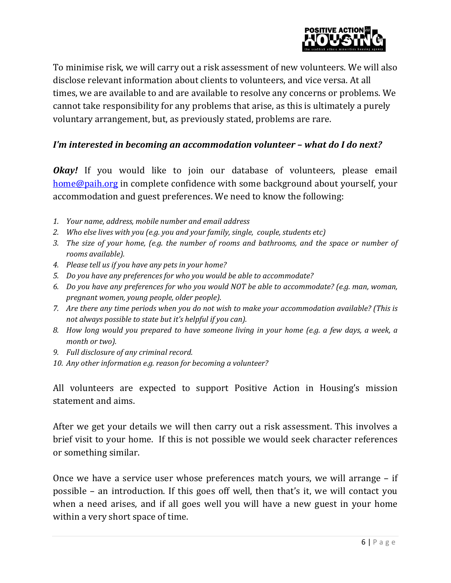

To minimise risk, we will carry out a risk assessment of new volunteers. We will also disclose relevant information about clients to volunteers, and vice versa. At all times, we are available to and are available to resolve any concerns or problems. We cannot take responsibility for any problems that arise, as this is ultimately a purely voluntary arrangement, but, as previously stated, problems are rare.

#### I'm interested in becoming an accommodation volunteer – what do I do next?

**Okay!** If you would like to join our database of volunteers, please email home@paih.org in complete confidence with some background about yourself, your accommodation and guest preferences. We need to know the following:

- 1. Your name, address, mobile number and email address
- 2. Who else lives with you (e.g. you and your family, single, couple, students etc)
- 3. The size of your home, (e.g. the number of rooms and bathrooms, and the space or number of rooms available).
- 4. Please tell us if you have any pets in your home?
- 5. Do you have any preferences for who you would be able to accommodate?
- 6. Do you have any preferences for who you would NOT be able to accommodate? (e.g. man, woman, pregnant women, young people, older people).
- 7. Are there any time periods when you do not wish to make your accommodation available? (This is not always possible to state but it's helpful if you can).
- 8. How long would you prepared to have someone living in your home (e.g. a few days, a week, a month or two).
- 9. Full disclosure of any criminal record.
- 10. Any other information e.g. reason for becoming a volunteer?

All volunteers are expected to support Positive Action in Housing's mission statement and aims.

After we get your details we will then carry out a risk assessment. This involves a brief visit to your home. If this is not possible we would seek character references or something similar.

Once we have a service user whose preferences match yours, we will arrange – if possible – an introduction. If this goes off well, then that's it, we will contact you when a need arises, and if all goes well you will have a new guest in your home within a very short space of time.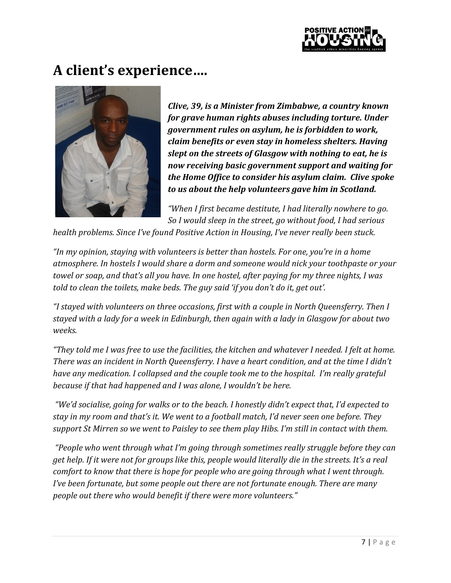

### A client's experience….



Clive, 39, is a Minister from Zimbabwe, a country known for grave human rights abuses including torture. Under government rules on asylum, he is forbidden to work, claim benefits or even stay in homeless shelters. Having slept on the streets of Glasgow with nothing to eat, he is now receiving basic government support and waiting for the Home Office to consider his asylum claim. Clive spoke to us about the help volunteers gave him in Scotland.

"When I first became destitute, I had literally nowhere to go. So I would sleep in the street, go without food, I had serious

health problems. Since I've found Positive Action in Housing, I've never really been stuck.

"In my opinion, staying with volunteers is better than hostels. For one, you're in a home atmosphere. In hostels I would share a dorm and someone would nick your toothpaste or your towel or soap, and that's all you have. In one hostel, after paying for my three nights, I was told to clean the toilets, make beds. The guy said 'if you don't do it, get out'.

"I stayed with volunteers on three occasions, first with a couple in North Queensferry. Then I stayed with a lady for a week in Edinburgh, then again with a lady in Glasgow for about two weeks.

"They told me I was free to use the facilities, the kitchen and whatever I needed. I felt at home. There was an incident in North Queensferry. I have a heart condition, and at the time I didn't have any medication. I collapsed and the couple took me to the hospital. I'm really grateful because if that had happened and I was alone, I wouldn't be here.

 "We'd socialise, going for walks or to the beach. I honestly didn't expect that, I'd expected to stay in my room and that's it. We went to a football match, I'd never seen one before. They support St Mirren so we went to Paisley to see them play Hibs. I'm still in contact with them.

 "People who went through what I'm going through sometimes really struggle before they can get help. If it were not for groups like this, people would literally die in the streets. It's a real comfort to know that there is hope for people who are going through what I went through. I've been fortunate, but some people out there are not fortunate enough. There are many people out there who would benefit if there were more volunteers."